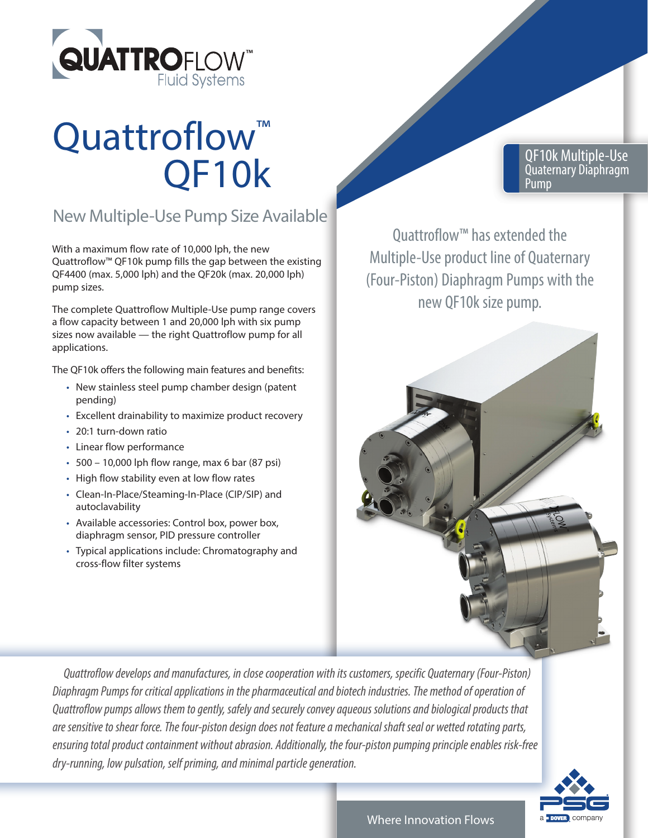

## Quattroflow<sup>™</sup> QF10k

## New Multiple-Use Pump Size Available

With a maximum flow rate of 10,000 lph, the new Quattroflow™ QF10k pump fills the gap between the existing QF4400 (max. 5,000 lph) and the QF20k (max. 20,000 lph) pump sizes.

The complete Quattroflow Multiple-Use pump range covers a flow capacity between 1 and 20,000 lph with six pump sizes now available — the right Quattroflow pump for all applications.

The QF10k offers the following main features and benefits:

- New stainless steel pump chamber design (patent pending)
- Excellent drainability to maximize product recovery
- 20:1 turn-down ratio
- Linear flow performance
- 500 10,000 lph flow range, max 6 bar (87 psi)
- High flow stability even at low flow rates
- Clean-In-Place/Steaming-In-Place (CIP/SIP) and autoclavability
- Available accessories: Control box, power box, diaphragm sensor, PID pressure controller
- Typical applications include: Chromatography and cross-flow filter systems

QF10k Multiple-Use Quaternary Diaphragm Pump

Quattroflow™ has extended the Multiple-Use product line of Quaternary (Four-Piston) Diaphragm Pumps with the new QF10k size pump.



 *Quattroflow develops and manufactures, in close cooperation with its customers, specific Quaternary (Four-Piston) Diaphragm Pumps for critical applications in the pharmaceutical and biotech industries. The method of operation of Quattroflow pumps allows them to gently, safely and securely convey aqueous solutions and biological products that are sensitive to shear force. The four-piston design does not feature a mechanical shaft seal or wetted rotating parts, ensuring total product containment without abrasion. Additionally, the four-piston pumping principle enables risk-free dry-running, low pulsation, self priming, and minimal particle generation.*